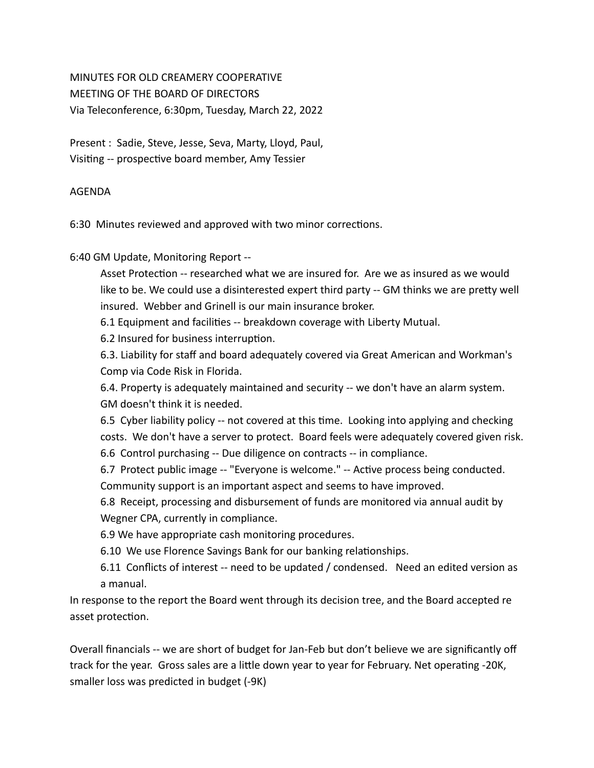## MINUTES FOR OLD CREAMERY COOPERATIVE MEETING OF THE BOARD OF DIRECTORS Via Teleconference, 6:30pm, Tuesday, March 22, 2022

Present : Sadie, Steve, Jesse, Seva, Marty, Lloyd, Paul, Visiting -- prospective board member, Amy Tessier

## AGENDA

6:30 Minutes reviewed and approved with two minor corrections.

6:40 GM Update, Monitoring Report --

Asset Protection -- researched what we are insured for. Are we as insured as we would like to be. We could use a disinterested expert third party -- GM thinks we are pretty well insured. Webber and Grinell is our main insurance broker.

6.1 Equipment and facilities -- breakdown coverage with Liberty Mutual.

6.2 Insured for business interruption.

6.3. Liability for staff and board adequately covered via Great American and Workman's Comp via Code Risk in Florida.

6.4. Property is adequately maintained and security -- we don't have an alarm system. GM doesn't think it is needed.

6.5 Cyber liability policy -- not covered at this time. Looking into applying and checking costs. We don't have a server to protect. Board feels were adequately covered given risk. 6.6 Control purchasing -- Due diligence on contracts -- in compliance.

6.7 Protect public image -- "Everyone is welcome." -- Active process being conducted. Community support is an important aspect and seems to have improved.

6.8 Receipt, processing and disbursement of funds are monitored via annual audit by Wegner CPA, currently in compliance.

6.9 We have appropriate cash monitoring procedures.

6.10 We use Florence Savings Bank for our banking relationships.

6.11 Conflicts of interest -- need to be updated / condensed. Need an edited version as a manual.

In response to the report the Board went through its decision tree, and the Board accepted re asset protection.

Overall financials -- we are short of budget for Jan-Feb but don't believe we are significantly off track for the year. Gross sales are a little down year to year for February. Net operating -20K, smaller loss was predicted in budget (-9K)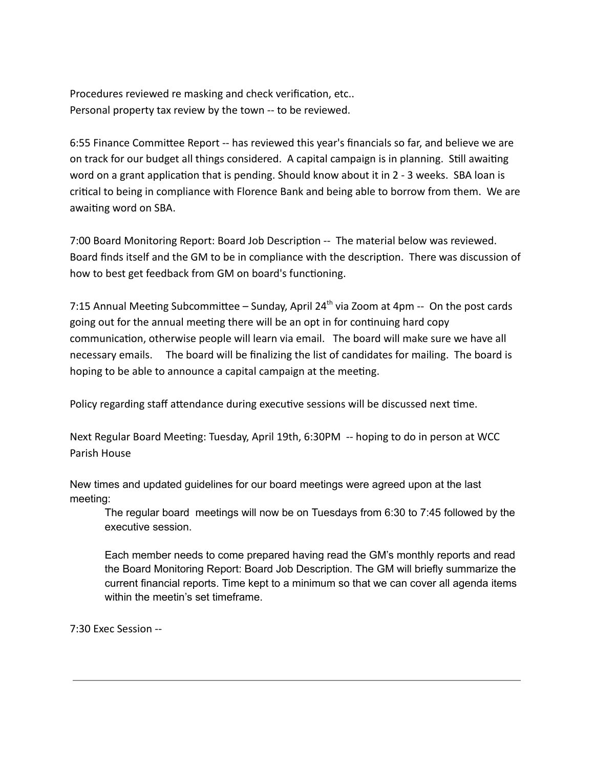Procedures reviewed re masking and check verification, etc.. Personal property tax review by the town -- to be reviewed.

6:55 Finance Committee Report -- has reviewed this year's financials so far, and believe we are on track for our budget all things considered. A capital campaign is in planning. Still awaiting word on a grant application that is pending. Should know about it in 2 - 3 weeks. SBA loan is critical to being in compliance with Florence Bank and being able to borrow from them. We are awaiting word on SBA.

7:00 Board Monitoring Report: Board Job Description -- The material below was reviewed. Board finds itself and the GM to be in compliance with the description. There was discussion of how to best get feedback from GM on board's functioning.

7:15 Annual Meeting Subcommittee – Sunday, April 24<sup>th</sup> via Zoom at 4pm -- On the post cards going out for the annual meeting there will be an opt in for continuing hard copy communication, otherwise people will learn via email. The board will make sure we have all necessary emails. The board will be finalizing the list of candidates for mailing. The board is hoping to be able to announce a capital campaign at the meeting.

Policy regarding staff attendance during executive sessions will be discussed next time.

Next Regular Board Meeting: Tuesday, April 19th, 6:30PM -- hoping to do in person at WCC Parish House

New times and updated guidelines for our board meetings were agreed upon at the last meeting:

The regular board meetings will now be on Tuesdays from 6:30 to 7:45 followed by the executive session.

Each member needs to come prepared having read the GM's monthly reports and read the Board Monitoring Report: Board Job Description. The GM will briefly summarize the current financial reports. Time kept to a minimum so that we can cover all agenda items within the meetin's set timeframe.

7:30 Exec Session --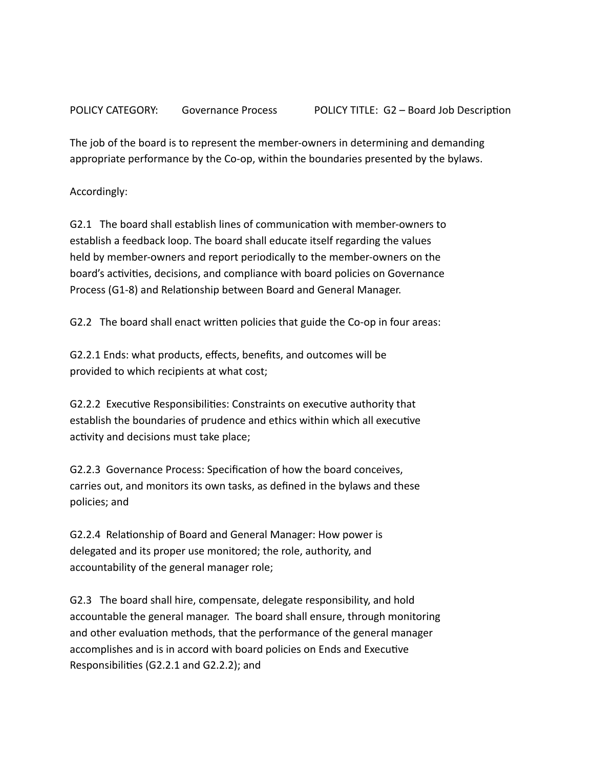## POLICY CATEGORY: Governance Process POLICY TITLE: G2 - Board Job Description

The job of the board is to represent the member-owners in determining and demanding appropriate performance by the Co-op, within the boundaries presented by the bylaws.

Accordingly:

G2.1 The board shall establish lines of communication with member-owners to establish a feedback loop. The board shall educate itself regarding the values held by member-owners and report periodically to the member-owners on the board's activities, decisions, and compliance with board policies on Governance Process (G1-8) and Relationship between Board and General Manager.

G2.2 The board shall enact written policies that guide the Co-op in four areas:

G2.2.1 Ends: what products, effects, benefits, and outcomes will be provided to which recipients at what cost;

G2.2.2 Executive Responsibilities: Constraints on executive authority that establish the boundaries of prudence and ethics within which all executive activity and decisions must take place;

G2.2.3 Governance Process: Specification of how the board conceives, carries out, and monitors its own tasks, as defined in the bylaws and these policies; and

G2.2.4 Relationship of Board and General Manager: How power is delegated and its proper use monitored; the role, authority, and accountability of the general manager role;

G2.3 The board shall hire, compensate, delegate responsibility, and hold accountable the general manager. The board shall ensure, through monitoring and other evaluation methods, that the performance of the general manager accomplishes and is in accord with board policies on Ends and Executive Responsibilies (G2.2.1 and G2.2.2); and